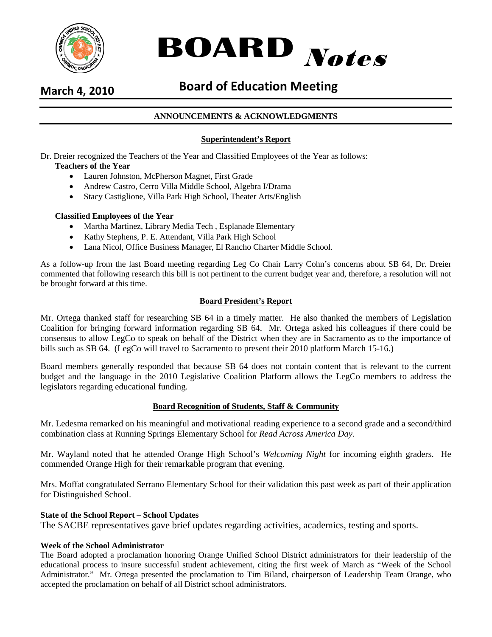



# **March 4, 2010 Board of Education Meeting**

# **ANNOUNCEMENTS & ACKNOWLEDGMENTS**

# **Superintendent's Report**

Dr. Dreier recognized the Teachers of the Year and Classified Employees of the Year as follows:

# **Teachers of the Year**

- Lauren Johnston, McPherson Magnet, First Grade
- Andrew Castro, Cerro Villa Middle School, Algebra I/Drama
- Stacy Castiglione, Villa Park High School, Theater Arts/English

# **Classified Employees of the Year**

- Martha Martinez, Library Media Tech , Esplanade Elementary
- Kathy Stephens, P. E. Attendant, Villa Park High School
- Lana Nicol, Office Business Manager, El Rancho Charter Middle School.

As a follow-up from the last Board meeting regarding Leg Co Chair Larry Cohn's concerns about SB 64, Dr. Dreier commented that following research this bill is not pertinent to the current budget year and, therefore, a resolution will not be brought forward at this time.

# **Board President's Report**

Mr. Ortega thanked staff for researching SB 64 in a timely matter. He also thanked the members of Legislation Coalition for bringing forward information regarding SB 64. Mr. Ortega asked his colleagues if there could be consensus to allow LegCo to speak on behalf of the District when they are in Sacramento as to the importance of bills such as SB 64. (LegCo will travel to Sacramento to present their 2010 platform March 15-16.)

Board members generally responded that because SB 64 does not contain content that is relevant to the current budget and the language in the 2010 Legislative Coalition Platform allows the LegCo members to address the legislators regarding educational funding.

# **Board Recognition of Students, Staff & Community**

Mr. Ledesma remarked on his meaningful and motivational reading experience to a second grade and a second/third combination class at Running Springs Elementary School for *Read Across America Day.*

Mr. Wayland noted that he attended Orange High School's *Welcoming Night* for incoming eighth graders. He commended Orange High for their remarkable program that evening.

Mrs. Moffat congratulated Serrano Elementary School for their validation this past week as part of their application for Distinguished School.

# **State of the School Report – School Updates**

The SACBE representatives gave brief updates regarding activities, academics, testing and sports.

# **Week of the School Administrator**

The Board adopted a proclamation honoring Orange Unified School District administrators for their leadership of the educational process to insure successful student achievement, citing the first week of March as "Week of the School Administrator." Mr. Ortega presented the proclamation to Tim Biland, chairperson of Leadership Team Orange, who accepted the proclamation on behalf of all District school administrators.